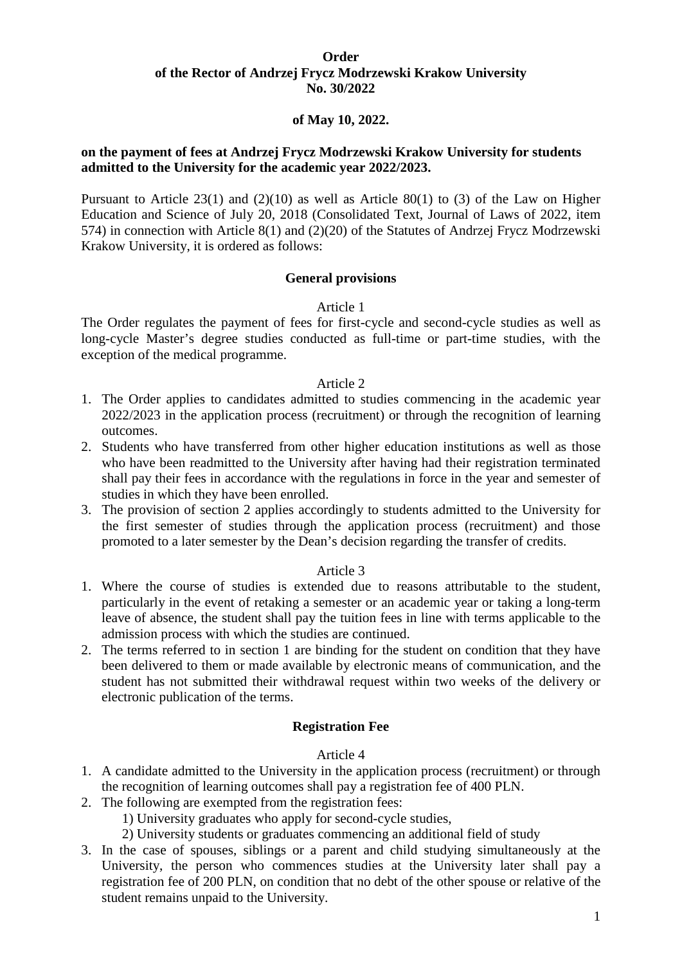### **Order of the Rector of Andrzej Frycz Modrzewski Krakow University No. 30/2022**

### **of May 10, 2022.**

## **on the payment of fees at Andrzej Frycz Modrzewski Krakow University for students admitted to the University for the academic year 2022/2023.**

Pursuant to Article  $23(1)$  and  $(2)(10)$  as well as Article  $80(1)$  to (3) of the Law on Higher Education and Science of July 20, 2018 (Consolidated Text, Journal of Laws of 2022, item 574) in connection with Article 8(1) and (2)(20) of the Statutes of Andrzej Frycz Modrzewski Krakow University, it is ordered as follows:

#### **General provisions**

#### Article 1

The Order regulates the payment of fees for first-cycle and second-cycle studies as well as long-cycle Master's degree studies conducted as full-time or part-time studies, with the exception of the medical programme.

#### Article 2

- 1. The Order applies to candidates admitted to studies commencing in the academic year 2022/2023 in the application process (recruitment) or through the recognition of learning outcomes.
- 2. Students who have transferred from other higher education institutions as well as those who have been readmitted to the University after having had their registration terminated shall pay their fees in accordance with the regulations in force in the year and semester of studies in which they have been enrolled.
- 3. The provision of section 2 applies accordingly to students admitted to the University for the first semester of studies through the application process (recruitment) and those promoted to a later semester by the Dean's decision regarding the transfer of credits.

## Article 3

- 1. Where the course of studies is extended due to reasons attributable to the student, particularly in the event of retaking a semester or an academic year or taking a long-term leave of absence, the student shall pay the tuition fees in line with terms applicable to the admission process with which the studies are continued.
- 2. The terms referred to in section 1 are binding for the student on condition that they have been delivered to them or made available by electronic means of communication, and the student has not submitted their withdrawal request within two weeks of the delivery or electronic publication of the terms.

#### **Registration Fee**

#### Article 4

- 1. A candidate admitted to the University in the application process (recruitment) or through the recognition of learning outcomes shall pay a registration fee of 400 PLN.
- 2. The following are exempted from the registration fees:
	- 1) University graduates who apply for second-cycle studies,
	- 2) University students or graduates commencing an additional field of study
- 3. In the case of spouses, siblings or a parent and child studying simultaneously at the University, the person who commences studies at the University later shall pay a registration fee of 200 PLN, on condition that no debt of the other spouse or relative of the student remains unpaid to the University.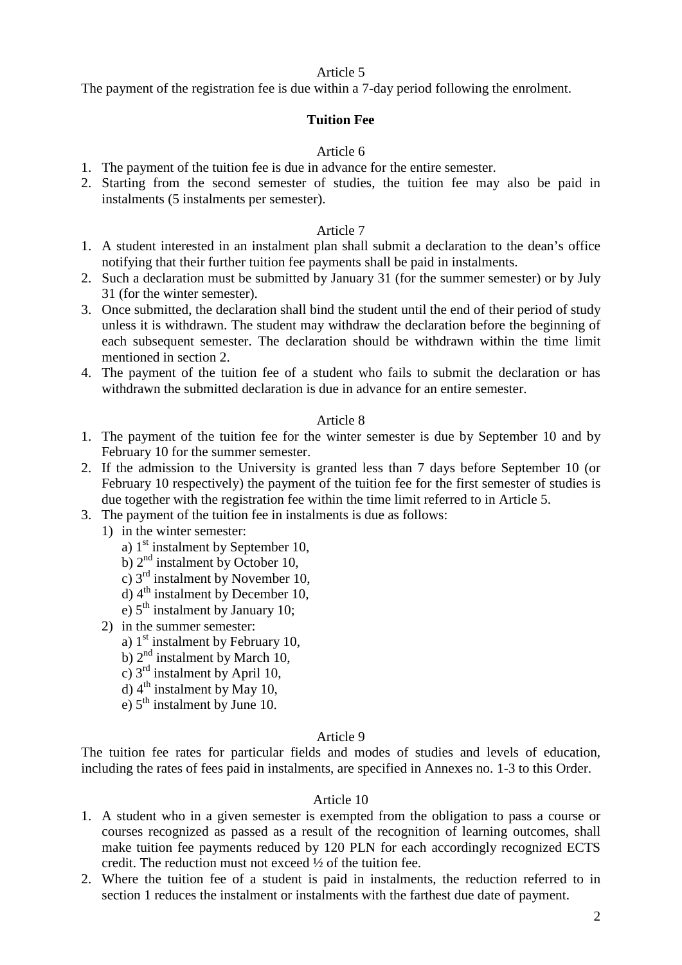The payment of the registration fee is due within a 7-day period following the enrolment.

### **Tuition Fee**

### Article 6

- 1. The payment of the tuition fee is due in advance for the entire semester.
- 2. Starting from the second semester of studies, the tuition fee may also be paid in instalments (5 instalments per semester).

#### Article 7

- 1. A student interested in an instalment plan shall submit a declaration to the dean's office notifying that their further tuition fee payments shall be paid in instalments.
- 2. Such a declaration must be submitted by January 31 (for the summer semester) or by July 31 (for the winter semester).
- 3. Once submitted, the declaration shall bind the student until the end of their period of study unless it is withdrawn. The student may withdraw the declaration before the beginning of each subsequent semester. The declaration should be withdrawn within the time limit mentioned in section 2.
- 4. The payment of the tuition fee of a student who fails to submit the declaration or has withdrawn the submitted declaration is due in advance for an entire semester.

### Article 8

- 1. The payment of the tuition fee for the winter semester is due by September 10 and by February 10 for the summer semester.
- 2. If the admission to the University is granted less than 7 days before September 10 (or February 10 respectively) the payment of the tuition fee for the first semester of studies is due together with the registration fee within the time limit referred to in Article 5.
- 3. The payment of the tuition fee in instalments is due as follows:
	- 1) in the winter semester:
		- a)  $1<sup>st</sup>$  instalment by September 10,
		- b)  $2<sup>nd</sup>$  instalment by October 10,
		- c) 3rd instalment by November 10,
		- d)  $4<sup>th</sup>$  instalment by December 10,
		- e)  $5<sup>th</sup>$  instalment by January 10:
	- 2) in the summer semester:
		- a)  $1<sup>st</sup>$  instalment by February 10,
		- b)  $2<sup>nd</sup>$  instalment by March 10,
		- c)  $3<sup>rd</sup>$  instalment by April 10,
		- d)  $4^{\text{th}}$  instalment by May 10,
		- e)  $5<sup>th</sup>$  instalment by June 10.

#### Article 9

The tuition fee rates for particular fields and modes of studies and levels of education, including the rates of fees paid in instalments, are specified in Annexes no. 1-3 to this Order.

### Article 10

- 1. A student who in a given semester is exempted from the obligation to pass a course or courses recognized as passed as a result of the recognition of learning outcomes, shall make tuition fee payments reduced by 120 PLN for each accordingly recognized ECTS credit. The reduction must not exceed ½ of the tuition fee.
- 2. Where the tuition fee of a student is paid in instalments, the reduction referred to in section 1 reduces the instalment or instalments with the farthest due date of payment.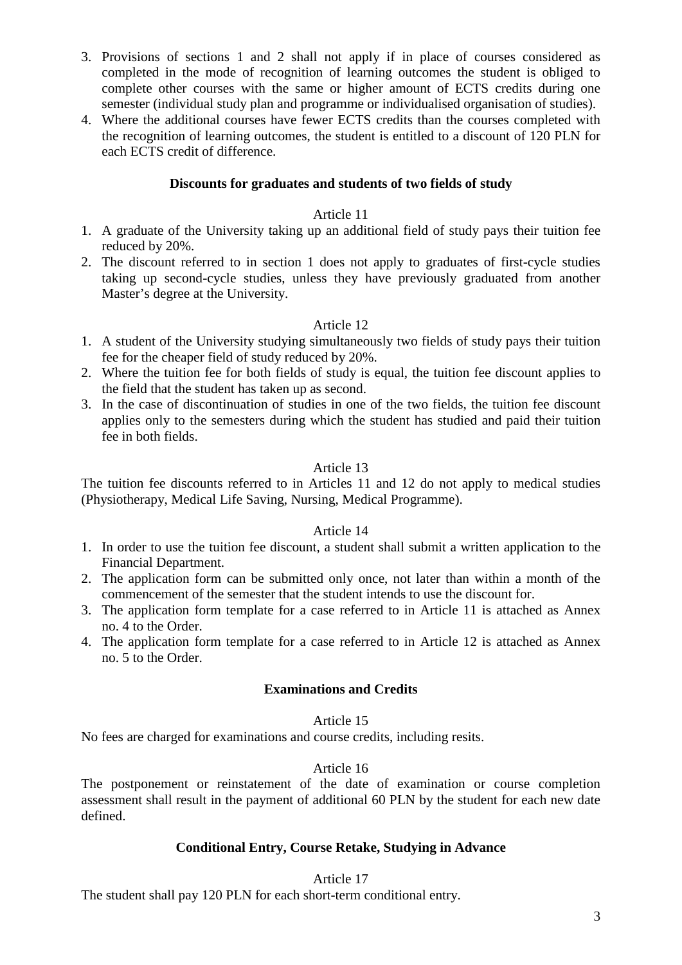- 3. Provisions of sections 1 and 2 shall not apply if in place of courses considered as completed in the mode of recognition of learning outcomes the student is obliged to complete other courses with the same or higher amount of ECTS credits during one semester (individual study plan and programme or individualised organisation of studies).
- 4. Where the additional courses have fewer ECTS credits than the courses completed with the recognition of learning outcomes, the student is entitled to a discount of 120 PLN for each ECTS credit of difference.

# **Discounts for graduates and students of two fields of study**

# Article 11

- 1. A graduate of the University taking up an additional field of study pays their tuition fee reduced by 20%.
- 2. The discount referred to in section 1 does not apply to graduates of first-cycle studies taking up second-cycle studies, unless they have previously graduated from another Master's degree at the University.

# Article 12

- 1. A student of the University studying simultaneously two fields of study pays their tuition fee for the cheaper field of study reduced by 20%.
- 2. Where the tuition fee for both fields of study is equal, the tuition fee discount applies to the field that the student has taken up as second.
- 3. In the case of discontinuation of studies in one of the two fields, the tuition fee discount applies only to the semesters during which the student has studied and paid their tuition fee in both fields.

## Article 13

The tuition fee discounts referred to in Articles 11 and 12 do not apply to medical studies (Physiotherapy, Medical Life Saving, Nursing, Medical Programme).

### Article 14

- 1. In order to use the tuition fee discount, a student shall submit a written application to the Financial Department.
- 2. The application form can be submitted only once, not later than within a month of the commencement of the semester that the student intends to use the discount for.
- 3. The application form template for a case referred to in Article 11 is attached as Annex no. 4 to the Order.
- 4. The application form template for a case referred to in Article 12 is attached as Annex no. 5 to the Order.

### **Examinations and Credits**

### Article 15

No fees are charged for examinations and course credits, including resits.

### Article 16

The postponement or reinstatement of the date of examination or course completion assessment shall result in the payment of additional 60 PLN by the student for each new date defined.

## **Conditional Entry, Course Retake, Studying in Advance**

### Article 17

The student shall pay 120 PLN for each short-term conditional entry.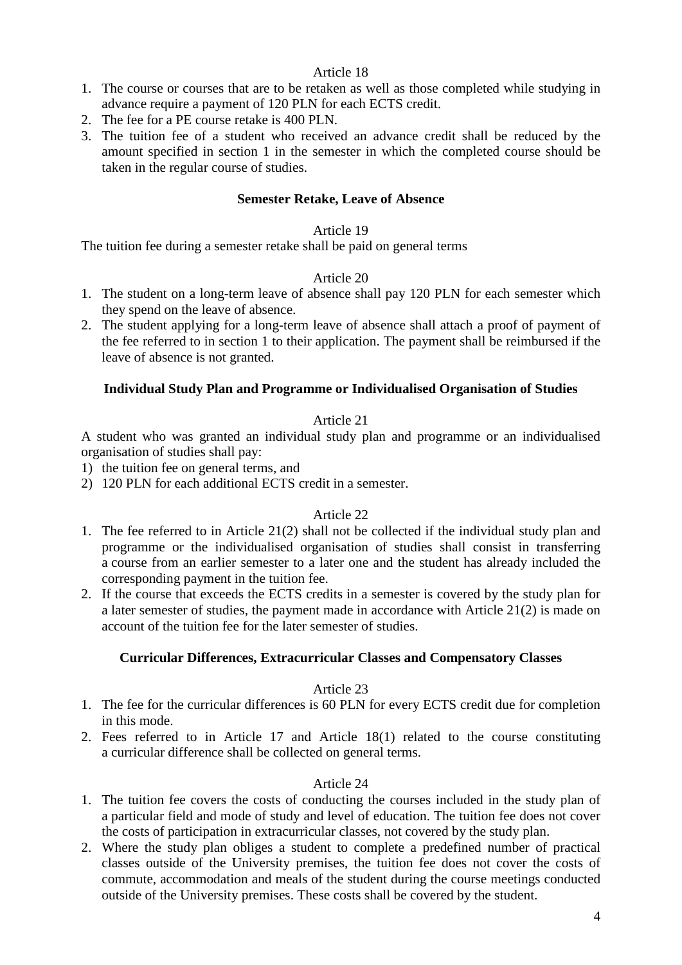- 1. The course or courses that are to be retaken as well as those completed while studying in advance require a payment of 120 PLN for each ECTS credit.
- 2. The fee for a PE course retake is 400 PLN.
- 3. The tuition fee of a student who received an advance credit shall be reduced by the amount specified in section 1 in the semester in which the completed course should be taken in the regular course of studies.

## **Semester Retake, Leave of Absence**

### Article 19

The tuition fee during a semester retake shall be paid on general terms

### Article 20

- 1. The student on a long-term leave of absence shall pay 120 PLN for each semester which they spend on the leave of absence.
- 2. The student applying for a long-term leave of absence shall attach a proof of payment of the fee referred to in section 1 to their application. The payment shall be reimbursed if the leave of absence is not granted.

### **Individual Study Plan and Programme or Individualised Organisation of Studies**

## Article 21

A student who was granted an individual study plan and programme or an individualised organisation of studies shall pay:

- 1) the tuition fee on general terms, and
- 2) 120 PLN for each additional ECTS credit in a semester.

### Article 22

- 1. The fee referred to in Article 21(2) shall not be collected if the individual study plan and programme or the individualised organisation of studies shall consist in transferring a course from an earlier semester to a later one and the student has already included the corresponding payment in the tuition fee.
- 2. If the course that exceeds the ECTS credits in a semester is covered by the study plan for a later semester of studies, the payment made in accordance with Article 21(2) is made on account of the tuition fee for the later semester of studies.

## **Curricular Differences, Extracurricular Classes and Compensatory Classes**

### Article 23

- 1. The fee for the curricular differences is 60 PLN for every ECTS credit due for completion in this mode.
- 2. Fees referred to in Article 17 and Article 18(1) related to the course constituting a curricular difference shall be collected on general terms.

## Article 24

- 1. The tuition fee covers the costs of conducting the courses included in the study plan of a particular field and mode of study and level of education. The tuition fee does not cover the costs of participation in extracurricular classes, not covered by the study plan.
- 2. Where the study plan obliges a student to complete a predefined number of practical classes outside of the University premises, the tuition fee does not cover the costs of commute, accommodation and meals of the student during the course meetings conducted outside of the University premises. These costs shall be covered by the student.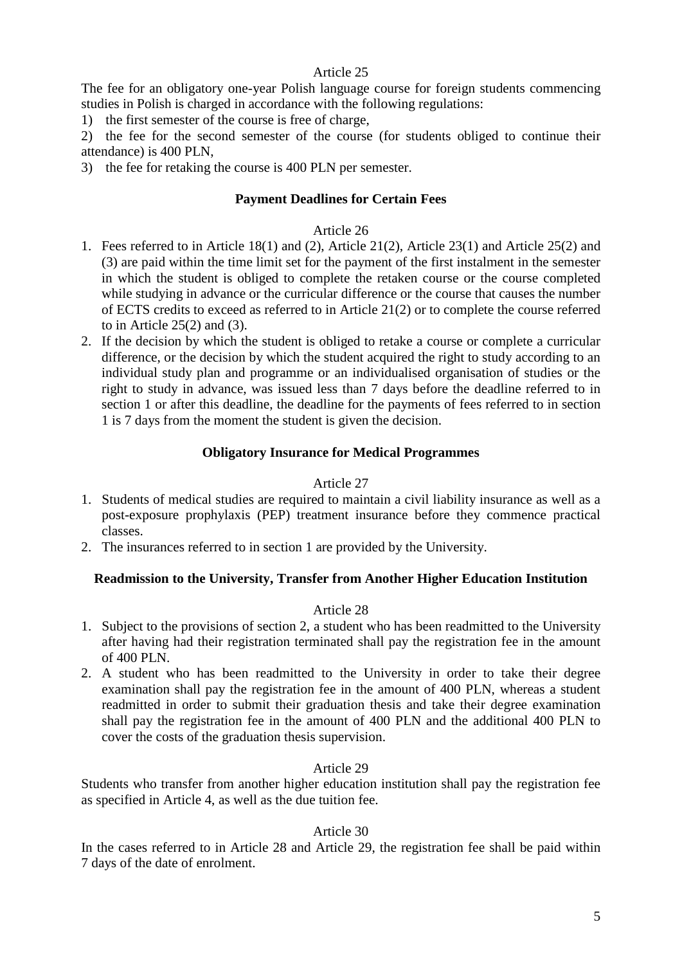The fee for an obligatory one-year Polish language course for foreign students commencing studies in Polish is charged in accordance with the following regulations:

1) the first semester of the course is free of charge,

2) the fee for the second semester of the course (for students obliged to continue their attendance) is 400 PLN,

3) the fee for retaking the course is 400 PLN per semester.

## **Payment Deadlines for Certain Fees**

### Article 26

- 1. Fees referred to in Article 18(1) and (2), Article 21(2), Article 23(1) and Article 25(2) and (3) are paid within the time limit set for the payment of the first instalment in the semester in which the student is obliged to complete the retaken course or the course completed while studying in advance or the curricular difference or the course that causes the number of ECTS credits to exceed as referred to in Article 21(2) or to complete the course referred to in Article  $25(2)$  and  $(3)$ .
- 2. If the decision by which the student is obliged to retake a course or complete a curricular difference, or the decision by which the student acquired the right to study according to an individual study plan and programme or an individualised organisation of studies or the right to study in advance, was issued less than 7 days before the deadline referred to in section 1 or after this deadline, the deadline for the payments of fees referred to in section 1 is 7 days from the moment the student is given the decision.

# **Obligatory Insurance for Medical Programmes**

### Article 27

- 1. Students of medical studies are required to maintain a civil liability insurance as well as a post-exposure prophylaxis (PEP) treatment insurance before they commence practical classes.
- 2. The insurances referred to in section 1 are provided by the University.

### **Readmission to the University, Transfer from Another Higher Education Institution**

### Article 28

- 1. Subject to the provisions of section 2, a student who has been readmitted to the University after having had their registration terminated shall pay the registration fee in the amount of 400 PLN.
- 2. A student who has been readmitted to the University in order to take their degree examination shall pay the registration fee in the amount of 400 PLN, whereas a student readmitted in order to submit their graduation thesis and take their degree examination shall pay the registration fee in the amount of 400 PLN and the additional 400 PLN to cover the costs of the graduation thesis supervision.

# Article 29

Students who transfer from another higher education institution shall pay the registration fee as specified in Article 4, as well as the due tuition fee.

### Article 30

In the cases referred to in Article 28 and Article 29, the registration fee shall be paid within 7 days of the date of enrolment.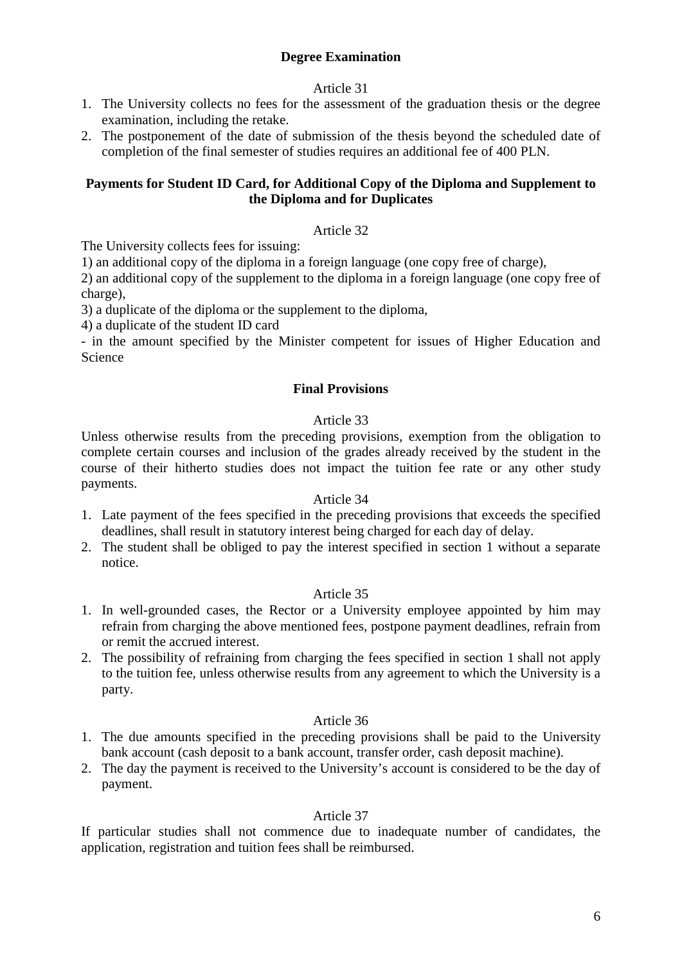# **Degree Examination**

## Article 31

- 1. The University collects no fees for the assessment of the graduation thesis or the degree examination, including the retake.
- 2. The postponement of the date of submission of the thesis beyond the scheduled date of completion of the final semester of studies requires an additional fee of 400 PLN.

# **Payments for Student ID Card, for Additional Copy of the Diploma and Supplement to the Diploma and for Duplicates**

### Article 32

The University collects fees for issuing:

1) an additional copy of the diploma in a foreign language (one copy free of charge),

2) an additional copy of the supplement to the diploma in a foreign language (one copy free of charge),

3) a duplicate of the diploma or the supplement to the diploma,

4) a duplicate of the student ID card

- in the amount specified by the Minister competent for issues of Higher Education and Science

### **Final Provisions**

### Article 33

Unless otherwise results from the preceding provisions, exemption from the obligation to complete certain courses and inclusion of the grades already received by the student in the course of their hitherto studies does not impact the tuition fee rate or any other study payments.

#### Article 34

- 1. Late payment of the fees specified in the preceding provisions that exceeds the specified deadlines, shall result in statutory interest being charged for each day of delay.
- 2. The student shall be obliged to pay the interest specified in section 1 without a separate notice.

### Article 35

- 1. In well-grounded cases, the Rector or a University employee appointed by him may refrain from charging the above mentioned fees, postpone payment deadlines, refrain from or remit the accrued interest.
- 2. The possibility of refraining from charging the fees specified in section 1 shall not apply to the tuition fee, unless otherwise results from any agreement to which the University is a party.

## Article 36

- 1. The due amounts specified in the preceding provisions shall be paid to the University bank account (cash deposit to a bank account, transfer order, cash deposit machine).
- 2. The day the payment is received to the University's account is considered to be the day of payment.

### Article 37

If particular studies shall not commence due to inadequate number of candidates, the application, registration and tuition fees shall be reimbursed.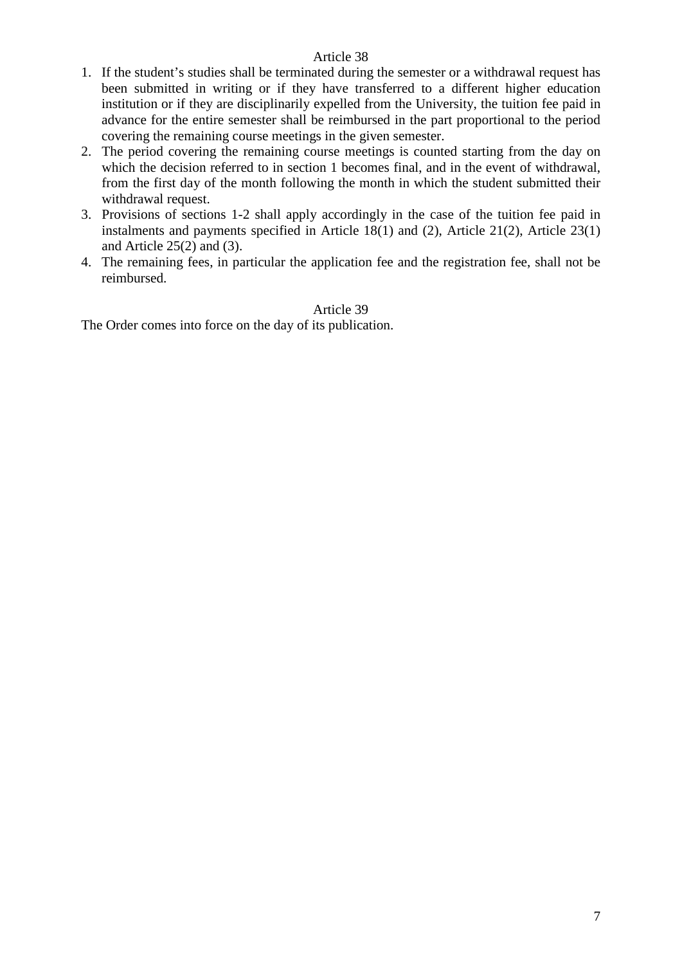- 1. If the student's studies shall be terminated during the semester or a withdrawal request has been submitted in writing or if they have transferred to a different higher education institution or if they are disciplinarily expelled from the University, the tuition fee paid in advance for the entire semester shall be reimbursed in the part proportional to the period covering the remaining course meetings in the given semester.
- 2. The period covering the remaining course meetings is counted starting from the day on which the decision referred to in section 1 becomes final, and in the event of withdrawal, from the first day of the month following the month in which the student submitted their withdrawal request.
- 3. Provisions of sections 1-2 shall apply accordingly in the case of the tuition fee paid in instalments and payments specified in Article 18(1) and (2), Article 21(2), Article 23(1) and Article 25(2) and (3).
- 4. The remaining fees, in particular the application fee and the registration fee, shall not be reimbursed.

# Article 39 The Order comes into force on the day of its publication.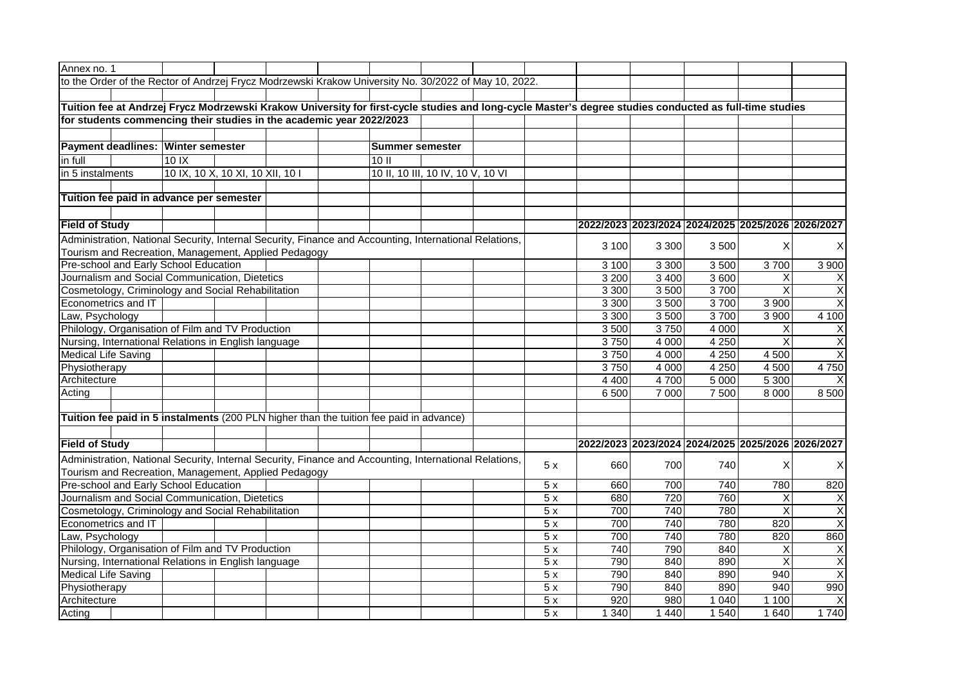| Annex no. 1                                                                                                                                             |                                                                                                                                                                      |         |                                  |                                                                                                        |  |                        |                                   |                                                                                                       |     |         |         |                         |                                                   |                         |
|---------------------------------------------------------------------------------------------------------------------------------------------------------|----------------------------------------------------------------------------------------------------------------------------------------------------------------------|---------|----------------------------------|--------------------------------------------------------------------------------------------------------|--|------------------------|-----------------------------------|-------------------------------------------------------------------------------------------------------|-----|---------|---------|-------------------------|---------------------------------------------------|-------------------------|
|                                                                                                                                                         |                                                                                                                                                                      |         |                                  |                                                                                                        |  |                        |                                   | to the Order of the Rector of Andrzej Frycz Modrzewski Krakow University No. 30/2022 of May 10, 2022. |     |         |         |                         |                                                   |                         |
|                                                                                                                                                         |                                                                                                                                                                      |         |                                  |                                                                                                        |  |                        |                                   |                                                                                                       |     |         |         |                         |                                                   |                         |
| Tuition fee at Andrzej Frycz Modrzewski Krakow University for first-cycle studies and long-cycle Master's degree studies conducted as full-time studies |                                                                                                                                                                      |         |                                  |                                                                                                        |  |                        |                                   |                                                                                                       |     |         |         |                         |                                                   |                         |
| for students commencing their studies in the academic year 2022/2023                                                                                    |                                                                                                                                                                      |         |                                  |                                                                                                        |  |                        |                                   |                                                                                                       |     |         |         |                         |                                                   |                         |
|                                                                                                                                                         |                                                                                                                                                                      |         |                                  |                                                                                                        |  |                        |                                   |                                                                                                       |     |         |         |                         |                                                   |                         |
|                                                                                                                                                         | Payment deadlines: Winter semester                                                                                                                                   |         |                                  |                                                                                                        |  | <b>Summer semester</b> |                                   |                                                                                                       |     |         |         |                         |                                                   |                         |
| in full                                                                                                                                                 |                                                                                                                                                                      | $10$ IX |                                  |                                                                                                        |  | 10 II                  |                                   |                                                                                                       |     |         |         |                         |                                                   |                         |
| in 5 instalments                                                                                                                                        |                                                                                                                                                                      |         | 10 IX, 10 X, 10 XI, 10 XII, 10 I |                                                                                                        |  |                        | 10 II, 10 III, 10 IV, 10 V, 10 VI |                                                                                                       |     |         |         |                         |                                                   |                         |
|                                                                                                                                                         |                                                                                                                                                                      |         |                                  |                                                                                                        |  |                        |                                   |                                                                                                       |     |         |         |                         |                                                   |                         |
| Tuition fee paid in advance per semester                                                                                                                |                                                                                                                                                                      |         |                                  |                                                                                                        |  |                        |                                   |                                                                                                       |     |         |         |                         |                                                   |                         |
|                                                                                                                                                         |                                                                                                                                                                      |         |                                  |                                                                                                        |  |                        |                                   |                                                                                                       |     |         |         |                         |                                                   |                         |
| <b>Field of Study</b>                                                                                                                                   |                                                                                                                                                                      |         |                                  |                                                                                                        |  |                        |                                   |                                                                                                       |     |         |         |                         | 2022/2023 2023/2024 2024/2025 2025/2026 2026/2027 |                         |
|                                                                                                                                                         |                                                                                                                                                                      |         |                                  | Administration, National Security, Internal Security, Finance and Accounting, International Relations, |  |                        |                                   |                                                                                                       |     | 3 100   |         |                         |                                                   |                         |
|                                                                                                                                                         |                                                                                                                                                                      |         |                                  | Tourism and Recreation, Management, Applied Pedagogy                                                   |  |                        |                                   |                                                                                                       |     |         | 3 3 0 0 | 3 500                   | X                                                 | X                       |
|                                                                                                                                                         | Pre-school and Early School Education                                                                                                                                |         |                                  |                                                                                                        |  |                        |                                   |                                                                                                       |     | 3 100   | 3 3 0 0 | 3 500                   | 3700                                              | 3 9 0 0                 |
|                                                                                                                                                         | Journalism and Social Communication, Dietetics                                                                                                                       |         |                                  |                                                                                                        |  |                        |                                   |                                                                                                       |     | 3 2 0 0 | 3 4 0 0 | 3 600                   | X                                                 |                         |
|                                                                                                                                                         | Cosmetology, Criminology and Social Rehabilitation                                                                                                                   |         |                                  |                                                                                                        |  |                        |                                   |                                                                                                       |     | 3 3 0 0 | 3500    | 3700                    | $\overline{\mathsf{x}}$                           | $\overline{\mathsf{x}}$ |
|                                                                                                                                                         | Econometrics and IT                                                                                                                                                  |         |                                  |                                                                                                        |  |                        |                                   |                                                                                                       |     | 3 3 0 0 | 3500    | 3700                    | 3 9 0 0                                           | $\overline{\mathsf{x}}$ |
| Law, Psychology                                                                                                                                         |                                                                                                                                                                      |         |                                  |                                                                                                        |  |                        |                                   |                                                                                                       |     | 3 3 0 0 | 3500    | 3700                    | 3 900                                             | 4 100                   |
|                                                                                                                                                         | Philology, Organisation of Film and TV Production                                                                                                                    |         |                                  |                                                                                                        |  |                        |                                   |                                                                                                       |     | 3500    | 3750    | 4 0 0 0                 | X                                                 | Χ                       |
|                                                                                                                                                         | Nursing, International Relations in English language                                                                                                                 |         |                                  |                                                                                                        |  |                        |                                   |                                                                                                       |     | 3750    | 4 0 0 0 | 4 2 5 0                 | $\sf X$                                           | X                       |
| <b>Medical Life Saving</b>                                                                                                                              |                                                                                                                                                                      |         |                                  |                                                                                                        |  |                        |                                   |                                                                                                       |     | 3750    | 4 0 0 0 | 4 2 5 0                 | 4 500                                             | X                       |
| Physiotherapy                                                                                                                                           |                                                                                                                                                                      |         |                                  |                                                                                                        |  |                        |                                   |                                                                                                       |     | 3750    | 4 0 0 0 | 4250                    | 4 500                                             | 4750                    |
| Architecture                                                                                                                                            |                                                                                                                                                                      |         |                                  |                                                                                                        |  |                        |                                   |                                                                                                       |     | 4 4 0 0 | 4700    | 5 0 0 0                 | 5 300                                             |                         |
| Acting                                                                                                                                                  |                                                                                                                                                                      |         |                                  |                                                                                                        |  |                        |                                   |                                                                                                       |     | 6 500   | 7 0 0 0 | 7 500                   | 8 0 0 0                                           | 8 500                   |
|                                                                                                                                                         |                                                                                                                                                                      |         |                                  |                                                                                                        |  |                        |                                   |                                                                                                       |     |         |         |                         |                                                   |                         |
|                                                                                                                                                         |                                                                                                                                                                      |         |                                  | Tuition fee paid in 5 instalments (200 PLN higher than the tuition fee paid in advance)                |  |                        |                                   |                                                                                                       |     |         |         |                         |                                                   |                         |
|                                                                                                                                                         |                                                                                                                                                                      |         |                                  |                                                                                                        |  |                        |                                   |                                                                                                       |     |         |         |                         |                                                   |                         |
| <b>Field of Study</b>                                                                                                                                   |                                                                                                                                                                      |         |                                  |                                                                                                        |  |                        |                                   |                                                                                                       |     |         |         |                         | 2022/2023 2023/2024 2024/2025 2025/2026 2026/2027 |                         |
|                                                                                                                                                         | Administration, National Security, Internal Security, Finance and Accounting, International Relations,<br>5x<br>Tourism and Recreation, Management, Applied Pedagogy |         |                                  |                                                                                                        |  |                        |                                   |                                                                                                       | 660 | 700     | 740     | Х                       | X                                                 |                         |
|                                                                                                                                                         | Pre-school and Early School Education                                                                                                                                |         |                                  |                                                                                                        |  |                        |                                   |                                                                                                       | 5x  | 660     | 700     | 740                     | 780                                               | 820                     |
| Journalism and Social Communication, Dietetics                                                                                                          |                                                                                                                                                                      |         |                                  |                                                                                                        |  |                        |                                   |                                                                                                       | 5x  | 680     | 720     | 760                     | X                                                 | X                       |
| Cosmetology, Criminology and Social Rehabilitation                                                                                                      |                                                                                                                                                                      |         |                                  |                                                                                                        |  |                        | 5x                                | 700                                                                                                   | 740 | 780     | X       | $\overline{X}$          |                                                   |                         |
|                                                                                                                                                         | Econometrics and IT                                                                                                                                                  |         |                                  |                                                                                                        |  |                        |                                   |                                                                                                       | 5x  | 700     | 740     | 780                     | 820                                               | $\overline{\mathsf{x}}$ |
| Law, Psychology                                                                                                                                         |                                                                                                                                                                      |         |                                  |                                                                                                        |  |                        |                                   |                                                                                                       | 5x  | 700     | 740     | 780                     | 820                                               | 860                     |
| Philology, Organisation of Film and TV Production                                                                                                       |                                                                                                                                                                      |         |                                  |                                                                                                        |  |                        |                                   |                                                                                                       | 5x  | 740     | 790     | 840                     | X                                                 | Χ                       |
| Nursing, International Relations in English language                                                                                                    |                                                                                                                                                                      |         |                                  |                                                                                                        |  |                        |                                   | 5x                                                                                                    | 790 | 840     | 890     | $\overline{\mathsf{x}}$ | $\overline{\mathsf{x}}$                           |                         |
| <b>Medical Life Saving</b>                                                                                                                              |                                                                                                                                                                      |         |                                  |                                                                                                        |  |                        |                                   |                                                                                                       | 5x  | 790     | 840     | 890                     | 940                                               | $\overline{\mathsf{x}}$ |
| Physiotherapy                                                                                                                                           |                                                                                                                                                                      |         |                                  |                                                                                                        |  |                        |                                   |                                                                                                       | 5x  | 790     | 840     | 890                     | 940                                               | 990                     |
| Architecture                                                                                                                                            |                                                                                                                                                                      |         |                                  |                                                                                                        |  |                        |                                   |                                                                                                       | 5x  | 920     | 980     | 1 0 4 0                 | 1 100                                             | X                       |
| Acting                                                                                                                                                  |                                                                                                                                                                      |         |                                  |                                                                                                        |  |                        |                                   |                                                                                                       | 5x  | 1 3 4 0 | 1 4 4 0 | 1 540                   | 1 640                                             | 1740                    |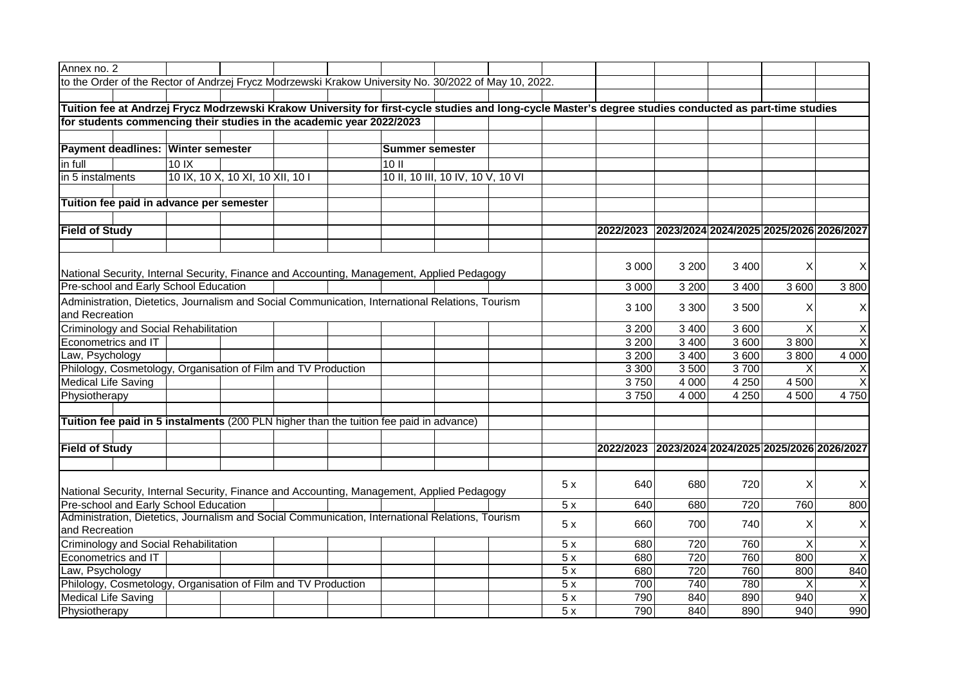| Annex no. 2                                                                                                                                             |                                                                                                  |                                                                |  |  |                                                                                                       |                                   |  |     |                                                   |         |                                         |              |                         |
|---------------------------------------------------------------------------------------------------------------------------------------------------------|--------------------------------------------------------------------------------------------------|----------------------------------------------------------------|--|--|-------------------------------------------------------------------------------------------------------|-----------------------------------|--|-----|---------------------------------------------------|---------|-----------------------------------------|--------------|-------------------------|
|                                                                                                                                                         |                                                                                                  |                                                                |  |  | to the Order of the Rector of Andrzej Frycz Modrzewski Krakow University No. 30/2022 of May 10, 2022. |                                   |  |     |                                                   |         |                                         |              |                         |
|                                                                                                                                                         |                                                                                                  |                                                                |  |  |                                                                                                       |                                   |  |     |                                                   |         |                                         |              |                         |
| Tuition fee at Andrzej Frycz Modrzewski Krakow University for first-cycle studies and long-cycle Master's degree studies conducted as part-time studies |                                                                                                  |                                                                |  |  |                                                                                                       |                                   |  |     |                                                   |         |                                         |              |                         |
| for students commencing their studies in the academic year 2022/2023                                                                                    |                                                                                                  |                                                                |  |  |                                                                                                       |                                   |  |     |                                                   |         |                                         |              |                         |
|                                                                                                                                                         |                                                                                                  |                                                                |  |  |                                                                                                       |                                   |  |     |                                                   |         |                                         |              |                         |
|                                                                                                                                                         |                                                                                                  | Payment deadlines: Winter semester                             |  |  | <b>Summer semester</b>                                                                                |                                   |  |     |                                                   |         |                                         |              |                         |
| in full                                                                                                                                                 |                                                                                                  | 10 <sub>1</sub>                                                |  |  | 10 II                                                                                                 |                                   |  |     |                                                   |         |                                         |              |                         |
| in 5 instalments                                                                                                                                        |                                                                                                  | 10 IX, 10 X, 10 XI, 10 XII, 10 I                               |  |  |                                                                                                       | 10 II, 10 III, 10 IV, 10 V, 10 VI |  |     |                                                   |         |                                         |              |                         |
|                                                                                                                                                         |                                                                                                  |                                                                |  |  |                                                                                                       |                                   |  |     |                                                   |         |                                         |              |                         |
| Tuition fee paid in advance per semester                                                                                                                |                                                                                                  |                                                                |  |  |                                                                                                       |                                   |  |     |                                                   |         |                                         |              |                         |
|                                                                                                                                                         |                                                                                                  |                                                                |  |  |                                                                                                       |                                   |  |     |                                                   |         |                                         |              |                         |
| <b>Field of Study</b>                                                                                                                                   |                                                                                                  |                                                                |  |  |                                                                                                       |                                   |  |     | 2022/2023 2023/2024 2024/2025 2025/2026 2026/2027 |         |                                         |              |                         |
|                                                                                                                                                         |                                                                                                  |                                                                |  |  |                                                                                                       |                                   |  |     |                                                   |         |                                         |              |                         |
|                                                                                                                                                         |                                                                                                  |                                                                |  |  | National Security, Internal Security, Finance and Accounting, Management, Applied Pedagogy            |                                   |  |     | 3 0 0 0                                           | 3 200   | 3 4 0 0                                 | X            | X                       |
|                                                                                                                                                         |                                                                                                  | Pre-school and Early School Education                          |  |  |                                                                                                       |                                   |  |     | 3 0 0 0                                           | 3 2 0 0 | 3 4 0 0                                 | 3 600        | 3 800                   |
|                                                                                                                                                         | Administration, Dietetics, Journalism and Social Communication, International Relations, Tourism |                                                                |  |  |                                                                                                       |                                   |  |     | 3 100                                             | 3 3 0 0 | 3 500                                   | X            | X                       |
| and Recreation                                                                                                                                          |                                                                                                  |                                                                |  |  |                                                                                                       |                                   |  |     |                                                   |         |                                         |              |                         |
|                                                                                                                                                         |                                                                                                  | Criminology and Social Rehabilitation                          |  |  |                                                                                                       |                                   |  |     | 3 200                                             | 3 4 0 0 | 3 600                                   | $\mathsf{X}$ | $\mathsf X$             |
| Econometrics and IT                                                                                                                                     |                                                                                                  |                                                                |  |  |                                                                                                       |                                   |  |     | 3 2 0 0                                           | 3 4 0 0 | 3 600                                   | 3800         | $\overline{\mathsf{x}}$ |
| Law, Psychology                                                                                                                                         |                                                                                                  |                                                                |  |  |                                                                                                       |                                   |  |     | 3 200                                             | 3 4 0 0 | 3 600                                   | 3800         | 4 0 0 0                 |
|                                                                                                                                                         |                                                                                                  | Philology, Cosmetology, Organisation of Film and TV Production |  |  |                                                                                                       |                                   |  |     | 3 3 0 0                                           | 3500    | 3700                                    | X            | X                       |
| <b>Medical Life Saving</b>                                                                                                                              |                                                                                                  |                                                                |  |  |                                                                                                       |                                   |  |     | 3750                                              | 4 0 0 0 | 4 2 5 0                                 | 4 500        | $\overline{\mathsf{x}}$ |
| Physiotherapy                                                                                                                                           |                                                                                                  |                                                                |  |  |                                                                                                       |                                   |  |     | 3750                                              | 4 0 0 0 | 4 2 5 0                                 | 4 500        | 4750                    |
|                                                                                                                                                         |                                                                                                  |                                                                |  |  |                                                                                                       |                                   |  |     |                                                   |         |                                         |              |                         |
|                                                                                                                                                         |                                                                                                  |                                                                |  |  | Tuition fee paid in 5 instalments (200 PLN higher than the tuition fee paid in advance)               |                                   |  |     |                                                   |         |                                         |              |                         |
|                                                                                                                                                         |                                                                                                  |                                                                |  |  |                                                                                                       |                                   |  |     |                                                   |         |                                         |              |                         |
| <b>Field of Study</b>                                                                                                                                   |                                                                                                  |                                                                |  |  |                                                                                                       |                                   |  |     | 2022/2023                                         |         | 2023/2024 2024/2025 2025/2026 2026/2027 |              |                         |
|                                                                                                                                                         |                                                                                                  |                                                                |  |  |                                                                                                       |                                   |  |     |                                                   |         |                                         |              |                         |
|                                                                                                                                                         |                                                                                                  |                                                                |  |  |                                                                                                       |                                   |  | 5x  | 640                                               | 680     | 720                                     | X            | X                       |
|                                                                                                                                                         | National Security, Internal Security, Finance and Accounting, Management, Applied Pedagogy       |                                                                |  |  |                                                                                                       |                                   |  |     |                                                   |         |                                         |              |                         |
| Pre-school and Early School Education<br>5x<br>Administration, Dietetics, Journalism and Social Communication, International Relations, Tourism         |                                                                                                  |                                                                |  |  |                                                                                                       |                                   |  | 640 | 680                                               | 720     | 760                                     | 800          |                         |
| 5x<br>and Recreation                                                                                                                                    |                                                                                                  |                                                                |  |  |                                                                                                       |                                   |  | 660 | 700                                               | 740     | X                                       | X            |                         |
| Criminology and Social Rehabilitation                                                                                                                   |                                                                                                  |                                                                |  |  |                                                                                                       |                                   |  | 5x  | 680                                               | 720     | 760                                     | X            | $\sf X$                 |
| Econometrics and IT                                                                                                                                     |                                                                                                  |                                                                |  |  |                                                                                                       |                                   |  | 5x  | 680                                               | 720     | 760                                     | 800          | $\sf X$                 |
| Law, Psychology                                                                                                                                         |                                                                                                  |                                                                |  |  |                                                                                                       |                                   |  | 5x  | 680                                               | 720     | 760                                     | 800          | 840                     |
| Philology, Cosmetology, Organisation of Film and TV Production                                                                                          |                                                                                                  |                                                                |  |  |                                                                                                       |                                   |  | 5x  | 700                                               | 740     | 780                                     | Χ            | X                       |
| <b>Medical Life Saving</b>                                                                                                                              |                                                                                                  |                                                                |  |  |                                                                                                       |                                   |  | 5x  | 790                                               | 840     | 890                                     | 940          | $\overline{\mathsf{x}}$ |
| Physiotherapy                                                                                                                                           |                                                                                                  |                                                                |  |  |                                                                                                       |                                   |  | 5x  | 790                                               | 840     | 890                                     | 940          | 990                     |